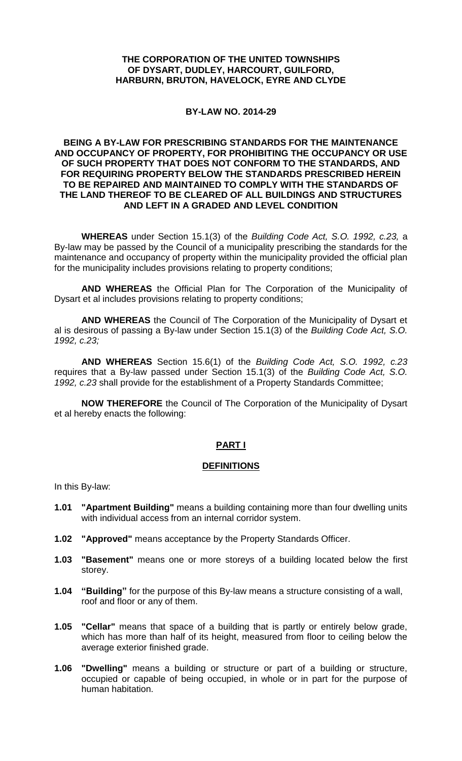#### **THE CORPORATION OF THE UNITED TOWNSHIPS OF DYSART, DUDLEY, HARCOURT, GUILFORD, HARBURN, BRUTON, HAVELOCK, EYRE AND CLYDE**

#### **BY-LAW NO. 2014-29**

#### **BEING A BY-LAW FOR PRESCRIBING STANDARDS FOR THE MAINTENANCE AND OCCUPANCY OF PROPERTY, FOR PROHIBITING THE OCCUPANCY OR USE OF SUCH PROPERTY THAT DOES NOT CONFORM TO THE STANDARDS, AND FOR REQUIRING PROPERTY BELOW THE STANDARDS PRESCRIBED HEREIN TO BE REPAIRED AND MAINTAINED TO COMPLY WITH THE STANDARDS OF THE LAND THEREOF TO BE CLEARED OF ALL BUILDINGS AND STRUCTURES AND LEFT IN A GRADED AND LEVEL CONDITION**

**WHEREAS** under Section 15.1(3) of the *Building Code Act, S.O. 1992, c.23,* a By-law may be passed by the Council of a municipality prescribing the standards for the maintenance and occupancy of property within the municipality provided the official plan for the municipality includes provisions relating to property conditions;

**AND WHEREAS** the Official Plan for The Corporation of the Municipality of Dysart et al includes provisions relating to property conditions;

**AND WHEREAS** the Council of The Corporation of the Municipality of Dysart et al is desirous of passing a By-law under Section 15.1(3) of the *Building Code Act, S.O. 1992, c.23;*

**AND WHEREAS** Section 15.6(1) of the *Building Code Act, S.O. 1992, c.23*  requires that a By-law passed under Section 15.1(3) of the *Building Code Act, S.O. 1992, c.23* shall provide for the establishment of a Property Standards Committee;

**NOW THEREFORE** the Council of The Corporation of the Municipality of Dysart et al hereby enacts the following:

## **PART I**

#### **DEFINITIONS**

In this By-law:

- **1.01 "Apartment Building"** means a building containing more than four dwelling units with individual access from an internal corridor system.
- **1.02 "Approved"** means acceptance by the Property Standards Officer.
- **1.03 "Basement"** means one or more storeys of a building located below the first storey.
- **1.04 "Building"** for the purpose of this By-law means a structure consisting of a wall, roof and floor or any of them.
- **1.05 "Cellar"** means that space of a building that is partly or entirely below grade, which has more than half of its height, measured from floor to ceiling below the average exterior finished grade.
- **1.06 "Dwelling"** means a building or structure or part of a building or structure, occupied or capable of being occupied, in whole or in part for the purpose of human habitation.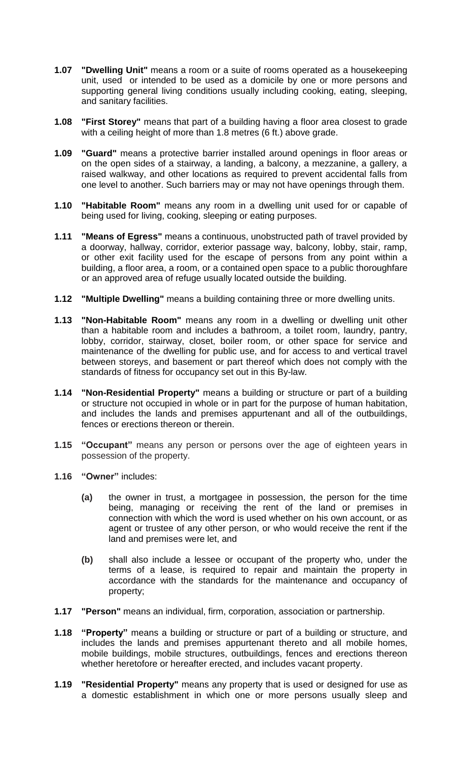- **1.07 "Dwelling Unit"** means a room or a suite of rooms operated as a housekeeping unit, used or intended to be used as a domicile by one or more persons and supporting general living conditions usually including cooking, eating, sleeping, and sanitary facilities.
- **1.08 "First Storey"** means that part of a building having a floor area closest to grade with a ceiling height of more than 1.8 metres (6 ft.) above grade.
- **1.09 "Guard"** means a protective barrier installed around openings in floor areas or on the open sides of a stairway, a landing, a balcony, a mezzanine, a gallery, a raised walkway, and other locations as required to prevent accidental falls from one level to another. Such barriers may or may not have openings through them.
- **1.10 "Habitable Room"** means any room in a dwelling unit used for or capable of being used for living, cooking, sleeping or eating purposes.
- **1.11 "Means of Egress"** means a continuous, unobstructed path of travel provided by a doorway, hallway, corridor, exterior passage way, balcony, lobby, stair, ramp, or other exit facility used for the escape of persons from any point within a building, a floor area, a room, or a contained open space to a public thoroughfare or an approved area of refuge usually located outside the building.
- **1.12 "Multiple Dwelling"** means a building containing three or more dwelling units.
- **1.13 "Non-Habitable Room"** means any room in a dwelling or dwelling unit other than a habitable room and includes a bathroom, a toilet room, laundry, pantry, lobby, corridor, stairway, closet, boiler room, or other space for service and maintenance of the dwelling for public use, and for access to and vertical travel between storeys, and basement or part thereof which does not comply with the standards of fitness for occupancy set out in this By-law.
- **1.14 "Non-Residential Property"** means a building or structure or part of a building or structure not occupied in whole or in part for the purpose of human habitation, and includes the lands and premises appurtenant and all of the outbuildings, fences or erections thereon or therein.
- **1.15 "Occupant"** means any person or persons over the age of eighteen years in possession of the property.
- **1.16 "Owner"** includes:
	- **(a)** the owner in trust, a mortgagee in possession, the person for the time being, managing or receiving the rent of the land or premises in connection with which the word is used whether on his own account, or as agent or trustee of any other person, or who would receive the rent if the land and premises were let, and
	- **(b)** shall also include a lessee or occupant of the property who, under the terms of a lease, is required to repair and maintain the property in accordance with the standards for the maintenance and occupancy of property;
- **1.17 "Person"** means an individual, firm, corporation, association or partnership.
- **1.18 "Property"** means a building or structure or part of a building or structure, and includes the lands and premises appurtenant thereto and all mobile homes, mobile buildings, mobile structures, outbuildings, fences and erections thereon whether heretofore or hereafter erected, and includes vacant property.
- **1.19 "Residential Property"** means any property that is used or designed for use as a domestic establishment in which one or more persons usually sleep and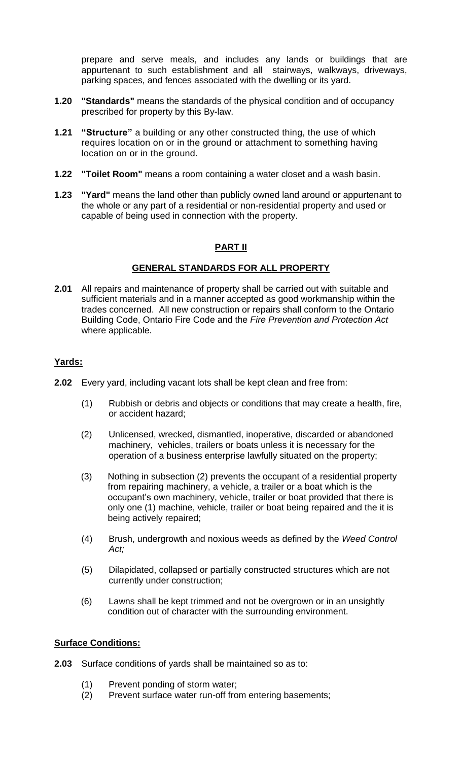prepare and serve meals, and includes any lands or buildings that are appurtenant to such establishment and all stairways, walkways, driveways, parking spaces, and fences associated with the dwelling or its yard.

- **1.20 "Standards"** means the standards of the physical condition and of occupancy prescribed for property by this By-law.
- **1.21 "Structure"** a building or any other constructed thing, the use of which requires location on or in the ground or attachment to something having location on or in the ground.
- **1.22 "Toilet Room"** means a room containing a water closet and a wash basin.
- **1.23 "Yard"** means the land other than publicly owned land around or appurtenant to the whole or any part of a residential or non-residential property and used or capable of being used in connection with the property.

## **PART II**

#### **GENERAL STANDARDS FOR ALL PROPERTY**

**2.01** All repairs and maintenance of property shall be carried out with suitable and sufficient materials and in a manner accepted as good workmanship within the trades concerned. All new construction or repairs shall conform to the Ontario Building Code, Ontario Fire Code and the *Fire Prevention and Protection Act* where applicable.

#### **Yards:**

- **2.02** Every yard, including vacant lots shall be kept clean and free from:
	- (1) Rubbish or debris and objects or conditions that may create a health, fire, or accident hazard;
	- (2) Unlicensed, wrecked, dismantled, inoperative, discarded or abandoned machinery, vehicles, trailers or boats unless it is necessary for the operation of a business enterprise lawfully situated on the property;
	- (3) Nothing in subsection (2) prevents the occupant of a residential property from repairing machinery, a vehicle, a trailer or a boat which is the occupant's own machinery, vehicle, trailer or boat provided that there is only one (1) machine, vehicle, trailer or boat being repaired and the it is being actively repaired;
	- (4) Brush, undergrowth and noxious weeds as defined by the *Weed Control Act;*
	- (5) Dilapidated, collapsed or partially constructed structures which are not currently under construction;
	- (6) Lawns shall be kept trimmed and not be overgrown or in an unsightly condition out of character with the surrounding environment.

#### **Surface Conditions:**

- **2.03** Surface conditions of yards shall be maintained so as to:
	- (1) Prevent ponding of storm water;
	- (2) Prevent surface water run-off from entering basements;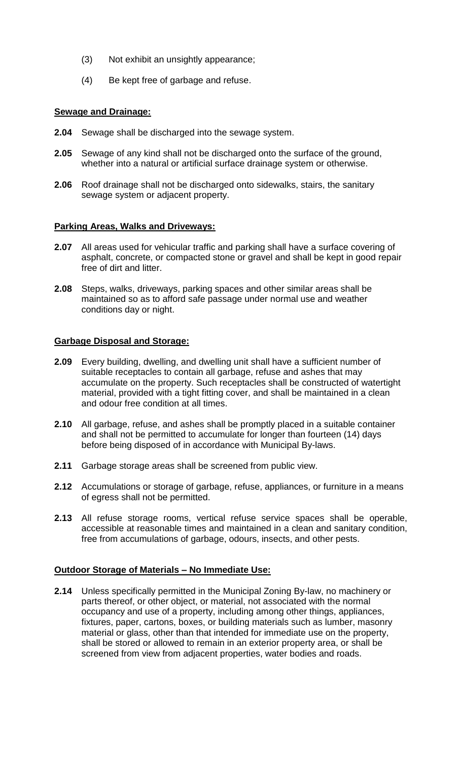- (3) Not exhibit an unsightly appearance;
- (4) Be kept free of garbage and refuse.

# **Sewage and Drainage:**

- **2.04** Sewage shall be discharged into the sewage system.
- **2.05** Sewage of any kind shall not be discharged onto the surface of the ground, whether into a natural or artificial surface drainage system or otherwise.
- **2.06** Roof drainage shall not be discharged onto sidewalks, stairs, the sanitary sewage system or adjacent property.

# **Parking Areas, Walks and Driveways:**

- **2.07** All areas used for vehicular traffic and parking shall have a surface covering of asphalt, concrete, or compacted stone or gravel and shall be kept in good repair free of dirt and litter.
- **2.08** Steps, walks, driveways, parking spaces and other similar areas shall be maintained so as to afford safe passage under normal use and weather conditions day or night.

## **Garbage Disposal and Storage:**

- **2.09** Every building, dwelling, and dwelling unit shall have a sufficient number of suitable receptacles to contain all garbage, refuse and ashes that may accumulate on the property. Such receptacles shall be constructed of watertight material, provided with a tight fitting cover, and shall be maintained in a clean and odour free condition at all times.
- **2.10** All garbage, refuse, and ashes shall be promptly placed in a suitable container and shall not be permitted to accumulate for longer than fourteen (14) days before being disposed of in accordance with Municipal By-laws.
- **2.11** Garbage storage areas shall be screened from public view.
- **2.12** Accumulations or storage of garbage, refuse, appliances, or furniture in a means of egress shall not be permitted.
- **2.13** All refuse storage rooms, vertical refuse service spaces shall be operable, accessible at reasonable times and maintained in a clean and sanitary condition, free from accumulations of garbage, odours, insects, and other pests.

## **Outdoor Storage of Materials – No Immediate Use:**

**2.14** Unless specifically permitted in the Municipal Zoning By-law, no machinery or parts thereof, or other object, or material, not associated with the normal occupancy and use of a property, including among other things, appliances, fixtures, paper, cartons, boxes, or building materials such as lumber, masonry material or glass, other than that intended for immediate use on the property, shall be stored or allowed to remain in an exterior property area, or shall be screened from view from adjacent properties, water bodies and roads.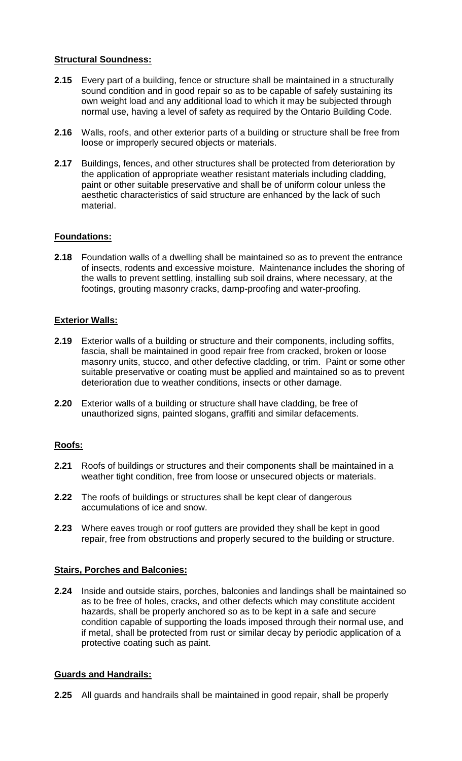#### **Structural Soundness:**

- **2.15** Every part of a building, fence or structure shall be maintained in a structurally sound condition and in good repair so as to be capable of safely sustaining its own weight load and any additional load to which it may be subjected through normal use, having a level of safety as required by the Ontario Building Code.
- **2.16** Walls, roofs, and other exterior parts of a building or structure shall be free from loose or improperly secured objects or materials.
- **2.17** Buildings, fences, and other structures shall be protected from deterioration by the application of appropriate weather resistant materials including cladding, paint or other suitable preservative and shall be of uniform colour unless the aesthetic characteristics of said structure are enhanced by the lack of such material.

## **Foundations:**

**2.18** Foundation walls of a dwelling shall be maintained so as to prevent the entrance of insects, rodents and excessive moisture. Maintenance includes the shoring of the walls to prevent settling, installing sub soil drains, where necessary, at the footings, grouting masonry cracks, damp-proofing and water-proofing.

## **Exterior Walls:**

- **2.19** Exterior walls of a building or structure and their components, including soffits, fascia, shall be maintained in good repair free from cracked, broken or loose masonry units, stucco, and other defective cladding, or trim. Paint or some other suitable preservative or coating must be applied and maintained so as to prevent deterioration due to weather conditions, insects or other damage.
- **2.20** Exterior walls of a building or structure shall have cladding, be free of unauthorized signs, painted slogans, graffiti and similar defacements.

## **Roofs:**

- **2.21** Roofs of buildings or structures and their components shall be maintained in a weather tight condition, free from loose or unsecured objects or materials.
- **2.22** The roofs of buildings or structures shall be kept clear of dangerous accumulations of ice and snow.
- **2.23** Where eaves trough or roof gutters are provided they shall be kept in good repair, free from obstructions and properly secured to the building or structure.

## **Stairs, Porches and Balconies:**

**2.24** Inside and outside stairs, porches, balconies and landings shall be maintained so as to be free of holes, cracks, and other defects which may constitute accident hazards, shall be properly anchored so as to be kept in a safe and secure condition capable of supporting the loads imposed through their normal use, and if metal, shall be protected from rust or similar decay by periodic application of a protective coating such as paint.

## **Guards and Handrails:**

**2.25** All guards and handrails shall be maintained in good repair, shall be properly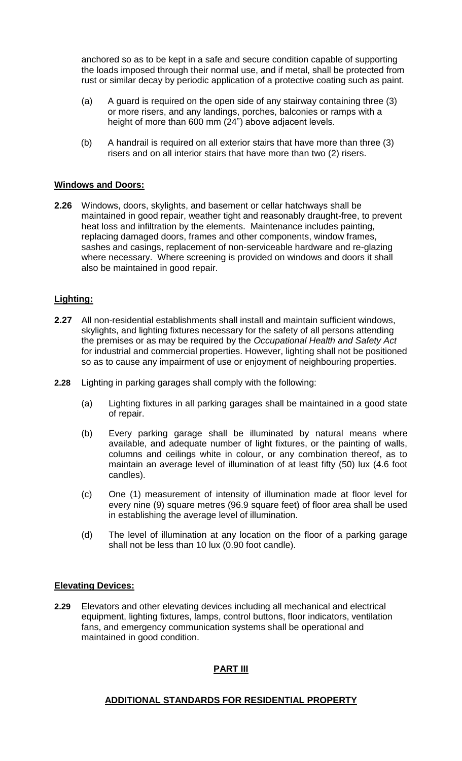anchored so as to be kept in a safe and secure condition capable of supporting the loads imposed through their normal use, and if metal, shall be protected from rust or similar decay by periodic application of a protective coating such as paint.

- (a) A guard is required on the open side of any stairway containing three (3) or more risers, and any landings, porches, balconies or ramps with a height of more than 600 mm (24") above adjacent levels.
- (b) A handrail is required on all exterior stairs that have more than three (3) risers and on all interior stairs that have more than two (2) risers.

#### **Windows and Doors:**

**2.26** Windows, doors, skylights, and basement or cellar hatchways shall be maintained in good repair, weather tight and reasonably draught-free, to prevent heat loss and infiltration by the elements. Maintenance includes painting, replacing damaged doors, frames and other components, window frames, sashes and casings, replacement of non-serviceable hardware and re-glazing where necessary. Where screening is provided on windows and doors it shall also be maintained in good repair.

#### **Lighting:**

- **2.27** All non-residential establishments shall install and maintain sufficient windows, skylights, and lighting fixtures necessary for the safety of all persons attending the premises or as may be required by the *Occupational Health and Safety Act* for industrial and commercial properties. However, lighting shall not be positioned so as to cause any impairment of use or enjoyment of neighbouring properties.
- **2.28** Lighting in parking garages shall comply with the following:
	- (a) Lighting fixtures in all parking garages shall be maintained in a good state of repair.
	- (b) Every parking garage shall be illuminated by natural means where available, and adequate number of light fixtures, or the painting of walls, columns and ceilings white in colour, or any combination thereof, as to maintain an average level of illumination of at least fifty (50) lux (4.6 foot candles).
	- (c) One (1) measurement of intensity of illumination made at floor level for every nine (9) square metres (96.9 square feet) of floor area shall be used in establishing the average level of illumination.
	- (d) The level of illumination at any location on the floor of a parking garage shall not be less than 10 lux (0.90 foot candle).

#### **Elevating Devices:**

**2.29** Elevators and other elevating devices including all mechanical and electrical equipment, lighting fixtures, lamps, control buttons, floor indicators, ventilation fans, and emergency communication systems shall be operational and maintained in good condition.

#### **PART III**

#### **ADDITIONAL STANDARDS FOR RESIDENTIAL PROPERTY**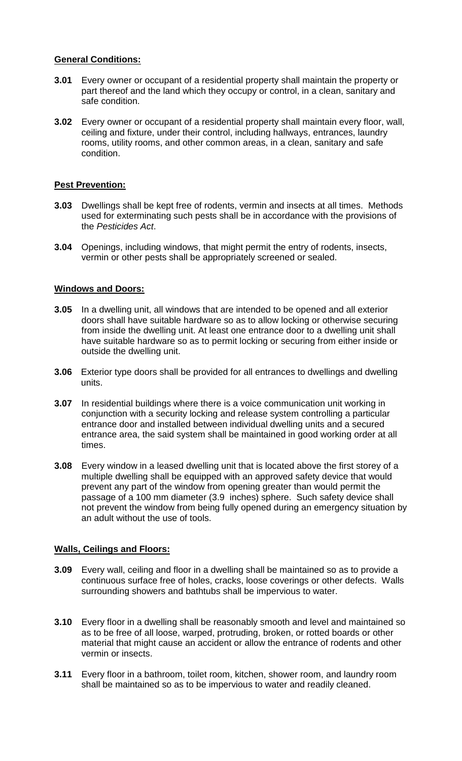#### **General Conditions:**

- **3.01** Every owner or occupant of a residential property shall maintain the property or part thereof and the land which they occupy or control, in a clean, sanitary and safe condition.
- **3.02** Every owner or occupant of a residential property shall maintain every floor, wall, ceiling and fixture, under their control, including hallways, entrances, laundry rooms, utility rooms, and other common areas, in a clean, sanitary and safe condition.

## **Pest Prevention:**

- **3.03** Dwellings shall be kept free of rodents, vermin and insects at all times. Methods used for exterminating such pests shall be in accordance with the provisions of the *Pesticides Act*.
- **3.04** Openings, including windows, that might permit the entry of rodents, insects, vermin or other pests shall be appropriately screened or sealed.

#### **Windows and Doors:**

- **3.05** In a dwelling unit, all windows that are intended to be opened and all exterior doors shall have suitable hardware so as to allow locking or otherwise securing from inside the dwelling unit. At least one entrance door to a dwelling unit shall have suitable hardware so as to permit locking or securing from either inside or outside the dwelling unit.
- **3.06** Exterior type doors shall be provided for all entrances to dwellings and dwelling units.
- **3.07** In residential buildings where there is a voice communication unit working in conjunction with a security locking and release system controlling a particular entrance door and installed between individual dwelling units and a secured entrance area, the said system shall be maintained in good working order at all times.
- **3.08** Every window in a leased dwelling unit that is located above the first storey of a multiple dwelling shall be equipped with an approved safety device that would prevent any part of the window from opening greater than would permit the passage of a 100 mm diameter (3.9 inches) sphere. Such safety device shall not prevent the window from being fully opened during an emergency situation by an adult without the use of tools.

## **Walls, Ceilings and Floors:**

- **3.09** Every wall, ceiling and floor in a dwelling shall be maintained so as to provide a continuous surface free of holes, cracks, loose coverings or other defects. Walls surrounding showers and bathtubs shall be impervious to water.
- **3.10** Every floor in a dwelling shall be reasonably smooth and level and maintained so as to be free of all loose, warped, protruding, broken, or rotted boards or other material that might cause an accident or allow the entrance of rodents and other vermin or insects.
- **3.11** Every floor in a bathroom, toilet room, kitchen, shower room, and laundry room shall be maintained so as to be impervious to water and readily cleaned.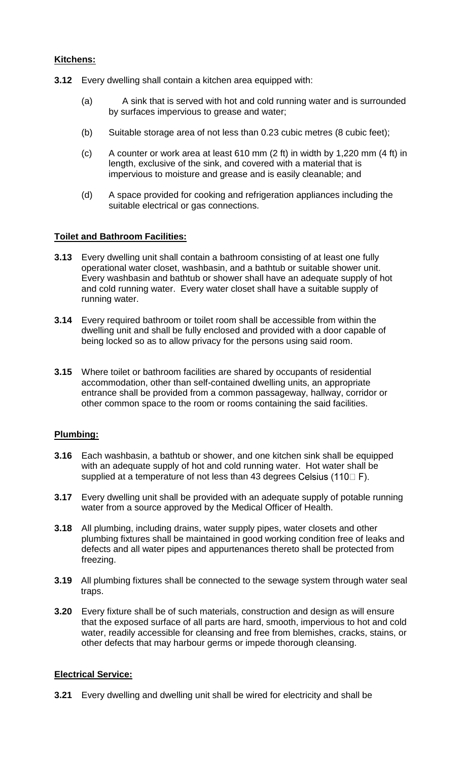#### **Kitchens:**

- **3.12** Every dwelling shall contain a kitchen area equipped with:
	- (a) A sink that is served with hot and cold running water and is surrounded by surfaces impervious to grease and water;
	- (b) Suitable storage area of not less than 0.23 cubic metres (8 cubic feet);
	- (c) A counter or work area at least 610 mm (2 ft) in width by 1,220 mm (4 ft) in length, exclusive of the sink, and covered with a material that is impervious to moisture and grease and is easily cleanable; and
	- (d) A space provided for cooking and refrigeration appliances including the suitable electrical or gas connections.

## **Toilet and Bathroom Facilities:**

- **3.13** Every dwelling unit shall contain a bathroom consisting of at least one fully operational water closet, washbasin, and a bathtub or suitable shower unit. Every washbasin and bathtub or shower shall have an adequate supply of hot and cold running water. Every water closet shall have a suitable supply of running water.
- **3.14** Every required bathroom or toilet room shall be accessible from within the dwelling unit and shall be fully enclosed and provided with a door capable of being locked so as to allow privacy for the persons using said room.
- **3.15** Where toilet or bathroom facilities are shared by occupants of residential accommodation, other than self-contained dwelling units, an appropriate entrance shall be provided from a common passageway, hallway, corridor or other common space to the room or rooms containing the said facilities.

## **Plumbing:**

- **3.16** Each washbasin, a bathtub or shower, and one kitchen sink shall be equipped with an adequate supply of hot and cold running water. Hot water shall be supplied at a temperature of not less than 43 degrees Celsius (110 $\square$  F).
- **3.17** Every dwelling unit shall be provided with an adequate supply of potable running water from a source approved by the Medical Officer of Health.
- **3.18** All plumbing, including drains, water supply pipes, water closets and other plumbing fixtures shall be maintained in good working condition free of leaks and defects and all water pipes and appurtenances thereto shall be protected from freezing.
- **3.19** All plumbing fixtures shall be connected to the sewage system through water seal traps.
- **3.20** Every fixture shall be of such materials, construction and design as will ensure that the exposed surface of all parts are hard, smooth, impervious to hot and cold water, readily accessible for cleansing and free from blemishes, cracks, stains, or other defects that may harbour germs or impede thorough cleansing.

#### **Electrical Service:**

**3.21** Every dwelling and dwelling unit shall be wired for electricity and shall be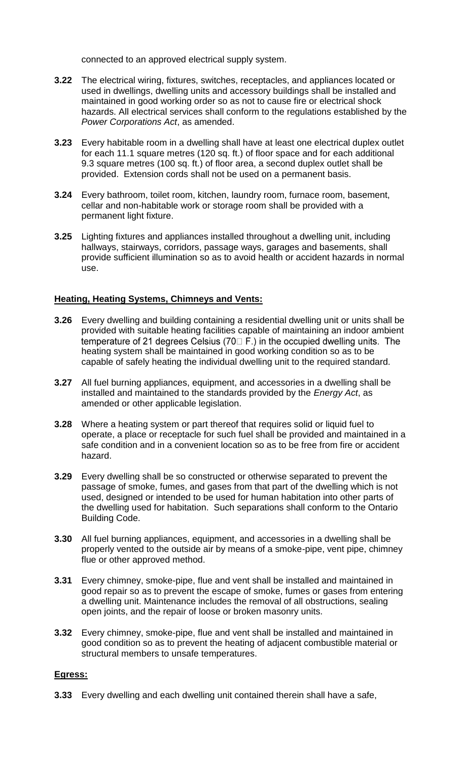connected to an approved electrical supply system.

- **3.22** The electrical wiring, fixtures, switches, receptacles, and appliances located or used in dwellings, dwelling units and accessory buildings shall be installed and maintained in good working order so as not to cause fire or electrical shock hazards. All electrical services shall conform to the regulations established by the *Power Corporations Act*, as amended.
- **3.23** Every habitable room in a dwelling shall have at least one electrical duplex outlet for each 11.1 square metres (120 sq. ft.) of floor space and for each additional 9.3 square metres (100 sq. ft.) of floor area, a second duplex outlet shall be provided. Extension cords shall not be used on a permanent basis.
- **3.24** Every bathroom, toilet room, kitchen, laundry room, furnace room, basement, cellar and non-habitable work or storage room shall be provided with a permanent light fixture.
- **3.25** Lighting fixtures and appliances installed throughout a dwelling unit, including hallways, stairways, corridors, passage ways, garages and basements, shall provide sufficient illumination so as to avoid health or accident hazards in normal use.

## **Heating, Heating Systems, Chimneys and Vents:**

- **3.26** Every dwelling and building containing a residential dwelling unit or units shall be provided with suitable heating facilities capable of maintaining an indoor ambient temperature of 21 degrees Celsius ( $70 \square$  F.) in the occupied dwelling units. The heating system shall be maintained in good working condition so as to be capable of safely heating the individual dwelling unit to the required standard.
- **3.27** All fuel burning appliances, equipment, and accessories in a dwelling shall be installed and maintained to the standards provided by the *Energy Act*, as amended or other applicable legislation.
- **3.28** Where a heating system or part thereof that requires solid or liquid fuel to operate, a place or receptacle for such fuel shall be provided and maintained in a safe condition and in a convenient location so as to be free from fire or accident hazard.
- **3.29** Every dwelling shall be so constructed or otherwise separated to prevent the passage of smoke, fumes, and gases from that part of the dwelling which is not used, designed or intended to be used for human habitation into other parts of the dwelling used for habitation. Such separations shall conform to the Ontario Building Code.
- **3.30** All fuel burning appliances, equipment, and accessories in a dwelling shall be properly vented to the outside air by means of a smoke-pipe, vent pipe, chimney flue or other approved method.
- **3.31** Every chimney, smoke-pipe, flue and vent shall be installed and maintained in good repair so as to prevent the escape of smoke, fumes or gases from entering a dwelling unit. Maintenance includes the removal of all obstructions, sealing open joints, and the repair of loose or broken masonry units.
- **3.32** Every chimney, smoke-pipe, flue and vent shall be installed and maintained in good condition so as to prevent the heating of adjacent combustible material or structural members to unsafe temperatures.

## **Egress:**

**3.33** Every dwelling and each dwelling unit contained therein shall have a safe,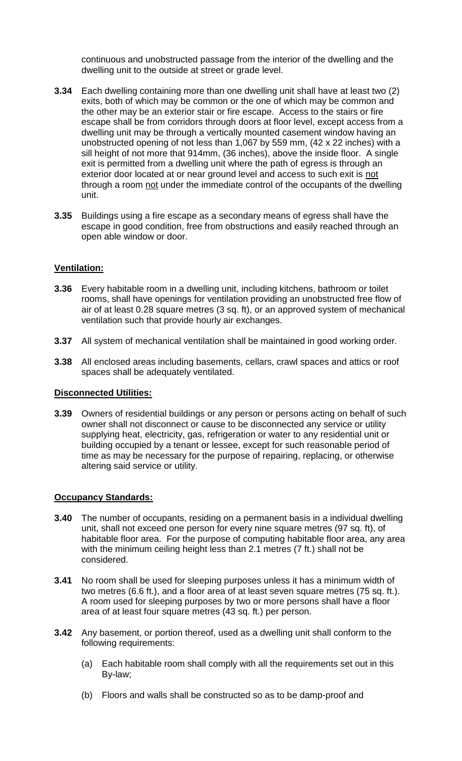continuous and unobstructed passage from the interior of the dwelling and the dwelling unit to the outside at street or grade level.

- **3.34** Each dwelling containing more than one dwelling unit shall have at least two (2) exits, both of which may be common or the one of which may be common and the other may be an exterior stair or fire escape. Access to the stairs or fire escape shall be from corridors through doors at floor level, except access from a dwelling unit may be through a vertically mounted casement window having an unobstructed opening of not less than 1,067 by 559 mm, (42 x 22 inches) with a sill height of not more that 914mm, (36 inches), above the inside floor. A single exit is permitted from a dwelling unit where the path of egress is through an exterior door located at or near ground level and access to such exit is not through a room not under the immediate control of the occupants of the dwelling unit.
- **3.35** Buildings using a fire escape as a secondary means of egress shall have the escape in good condition, free from obstructions and easily reached through an open able window or door.

## **Ventilation:**

- **3.36** Every habitable room in a dwelling unit, including kitchens, bathroom or toilet rooms, shall have openings for ventilation providing an unobstructed free flow of air of at least 0.28 square metres (3 sq. ft), or an approved system of mechanical ventilation such that provide hourly air exchanges.
- **3.37** All system of mechanical ventilation shall be maintained in good working order.
- **3.38** All enclosed areas including basements, cellars, crawl spaces and attics or roof spaces shall be adequately ventilated.

## **Disconnected Utilities:**

**3.39** Owners of residential buildings or any person or persons acting on behalf of such owner shall not disconnect or cause to be disconnected any service or utility supplying heat, electricity, gas, refrigeration or water to any residential unit or building occupied by a tenant or lessee, except for such reasonable period of time as may be necessary for the purpose of repairing, replacing, or otherwise altering said service or utility.

## **Occupancy Standards:**

- **3.40** The number of occupants, residing on a permanent basis in a individual dwelling unit, shall not exceed one person for every nine square metres (97 sq. ft), of habitable floor area. For the purpose of computing habitable floor area, any area with the minimum ceiling height less than 2.1 metres (7 ft.) shall not be considered.
- **3.41** No room shall be used for sleeping purposes unless it has a minimum width of two metres (6.6 ft.), and a floor area of at least seven square metres (75 sq. ft.). A room used for sleeping purposes by two or more persons shall have a floor area of at least four square metres (43 sq. ft.) per person.
- **3.42** Any basement, or portion thereof, used as a dwelling unit shall conform to the following requirements:
	- (a) Each habitable room shall comply with all the requirements set out in this By-law;
	- (b) Floors and walls shall be constructed so as to be damp-proof and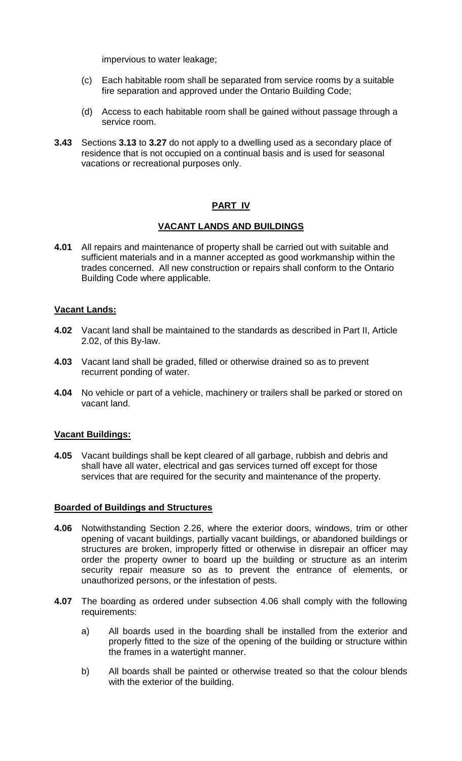impervious to water leakage;

- (c) Each habitable room shall be separated from service rooms by a suitable fire separation and approved under the Ontario Building Code;
- (d) Access to each habitable room shall be gained without passage through a service room.
- **3.43** Sections **3.13** to **3.27** do not apply to a dwelling used as a secondary place of residence that is not occupied on a continual basis and is used for seasonal vacations or recreational purposes only.

## **PART IV**

#### **VACANT LANDS AND BUILDINGS**

**4.01** All repairs and maintenance of property shall be carried out with suitable and sufficient materials and in a manner accepted as good workmanship within the trades concerned. All new construction or repairs shall conform to the Ontario Building Code where applicable.

#### **Vacant Lands:**

- **4.02** Vacant land shall be maintained to the standards as described in Part II, Article 2.02, of this By-law.
- **4.03** Vacant land shall be graded, filled or otherwise drained so as to prevent recurrent ponding of water.
- **4.04** No vehicle or part of a vehicle, machinery or trailers shall be parked or stored on vacant land.

#### **Vacant Buildings:**

**4.05** Vacant buildings shall be kept cleared of all garbage, rubbish and debris and shall have all water, electrical and gas services turned off except for those services that are required for the security and maintenance of the property.

#### **Boarded of Buildings and Structures**

- **4.06** Notwithstanding Section 2.26, where the exterior doors, windows, trim or other opening of vacant buildings, partially vacant buildings, or abandoned buildings or structures are broken, improperly fitted or otherwise in disrepair an officer may order the property owner to board up the building or structure as an interim security repair measure so as to prevent the entrance of elements, or unauthorized persons, or the infestation of pests.
- **4.07** The boarding as ordered under subsection 4.06 shall comply with the following requirements:
	- a) All boards used in the boarding shall be installed from the exterior and properly fitted to the size of the opening of the building or structure within the frames in a watertight manner.
	- b) All boards shall be painted or otherwise treated so that the colour blends with the exterior of the building.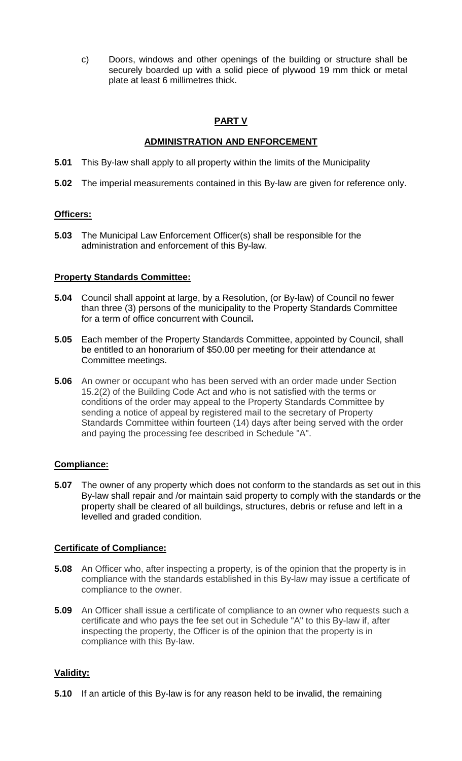c) Doors, windows and other openings of the building or structure shall be securely boarded up with a solid piece of plywood 19 mm thick or metal plate at least 6 millimetres thick.

# **PART V**

## **ADMINISTRATION AND ENFORCEMENT**

- **5.01** This By-law shall apply to all property within the limits of the Municipality
- **5.02** The imperial measurements contained in this By-law are given for reference only.

# **Officers:**

**5.03** The Municipal Law Enforcement Officer(s) shall be responsible for the administration and enforcement of this By-law.

# **Property Standards Committee:**

- **5.04** Council shall appoint at large, by a Resolution, (or By-law) of Council no fewer than three (3) persons of the municipality to the Property Standards Committee for a term of office concurrent with Council**.**
- **5.05** Each member of the Property Standards Committee, appointed by Council, shall be entitled to an honorarium of \$50.00 per meeting for their attendance at Committee meetings.
- **5.06** An owner or occupant who has been served with an order made under Section 15.2(2) of the Building Code Act and who is not satisfied with the terms or conditions of the order may appeal to the Property Standards Committee by sending a notice of appeal by registered mail to the secretary of Property Standards Committee within fourteen (14) days after being served with the order and paying the processing fee described in Schedule "A".

# **Compliance:**

**5.07** The owner of any property which does not conform to the standards as set out in this By-law shall repair and /or maintain said property to comply with the standards or the property shall be cleared of all buildings, structures, debris or refuse and left in a levelled and graded condition.

## **Certificate of Compliance:**

- **5.08** An Officer who, after inspecting a property, is of the opinion that the property is in compliance with the standards established in this By-law may issue a certificate of compliance to the owner.
- **5.09** An Officer shall issue a certificate of compliance to an owner who requests such a certificate and who pays the fee set out in Schedule "A" to this By-law if, after inspecting the property, the Officer is of the opinion that the property is in compliance with this By-law.

# **Validity:**

**5.10** If an article of this By-law is for any reason held to be invalid, the remaining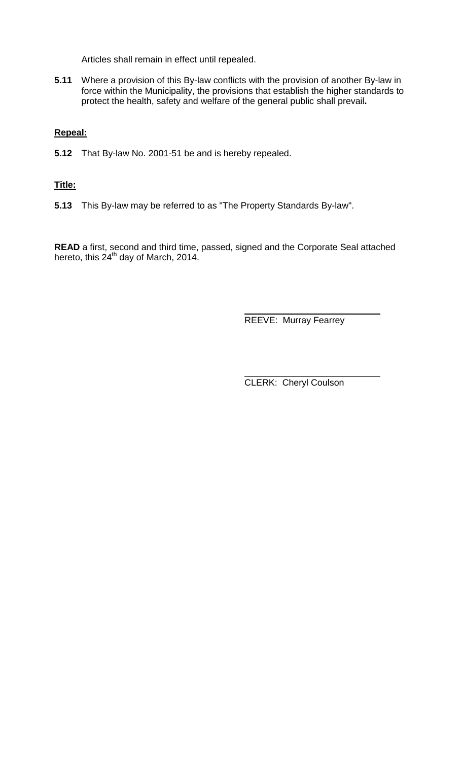Articles shall remain in effect until repealed.

**5.11** Where a provision of this By-law conflicts with the provision of another By-law in force within the Municipality, the provisions that establish the higher standards to protect the health, safety and welfare of the general public shall prevail**.**

# **Repeal:**

**5.12** That By-law No. 2001-51 be and is hereby repealed.

## **Title:**

**5.13** This By-law may be referred to as "The Property Standards By-law".

**READ** a first, second and third time, passed, signed and the Corporate Seal attached hereto, this 24<sup>th</sup> day of March, 2014.

REEVE: Murray Fearrey

CLERK: Cheryl Coulson